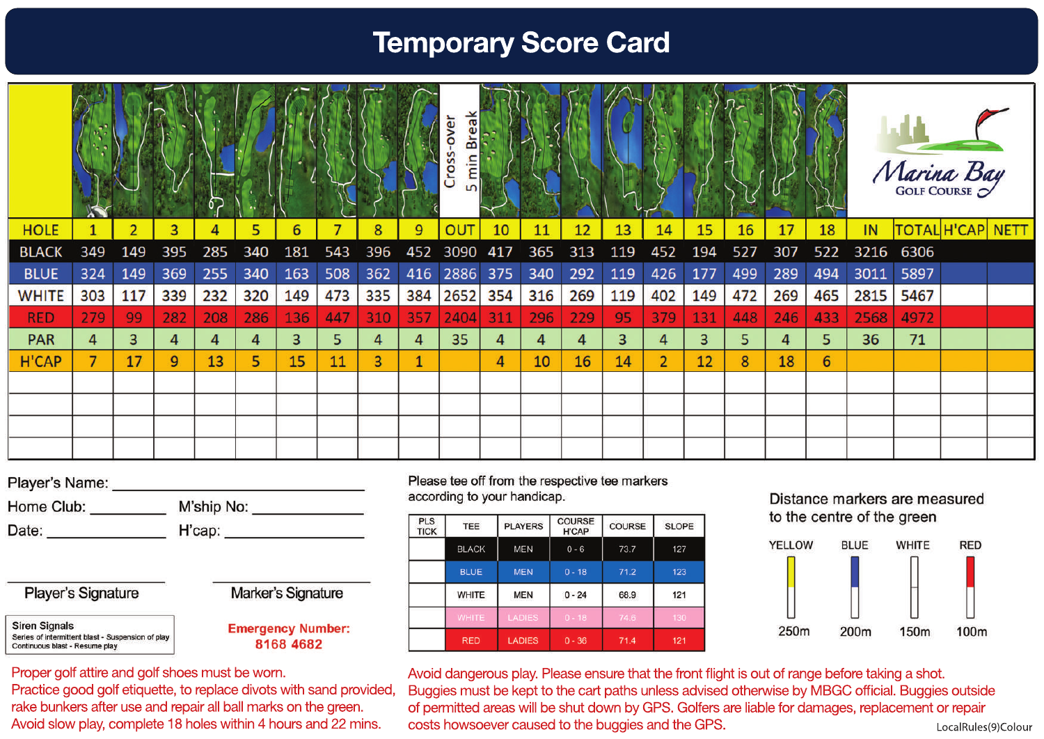## **Temporary Score Card**

|              |     |     |                |     |     |     |     |     |     | over<br>ea<br>ക്<br>S<br>Cro<br>ε<br>m |     |     |     |     |                |     |     |     |     | Marina Bay |       |       |             |
|--------------|-----|-----|----------------|-----|-----|-----|-----|-----|-----|----------------------------------------|-----|-----|-----|-----|----------------|-----|-----|-----|-----|------------|-------|-------|-------------|
| <b>HOLE</b>  |     | 2   | 3 <sup>1</sup> | 4   | 5   | 6   |     | 8   | 9   | OUT                                    | 10  | 11  | 12  | 13  | 14             | 15  | 16  | 17  | 18  | IN         | TOTAL | H'CAP | <b>NETT</b> |
| <b>BLACK</b> | 349 | 149 | 395            | 285 | 340 | 181 | 543 | 396 | 452 | 3090                                   | 417 | 365 | 313 | 119 | 452            | 194 | 527 | 307 | 522 | 3216       | 6306  |       |             |
| <b>BLUE</b>  | 324 | 149 | 369            | 255 | 340 | 163 | 508 | 362 | 416 | 2886                                   | 375 | 340 | 292 | 119 | 426            | 177 | 499 | 289 | 494 | 3011       | 5897  |       |             |
| <b>WHITE</b> | 303 | 117 | 339            | 232 | 320 | 149 | 473 | 335 | 384 | 2652                                   | 354 | 316 | 269 | 119 | 402            | 149 | 472 | 269 | 465 | 2815       | 5467  |       |             |
| <b>RED</b>   | 279 | 99  | 282            | 208 | 286 | 136 | 447 | 310 | 357 | 2404                                   | 311 | 296 | 229 | 95  | 379            | 131 | 448 | 246 | 433 | 2568       | 4972  |       |             |
| <b>PAR</b>   | 4   | 3   | 4              | 4   | 4   | 3   | 5   | 4   | 4   | 35                                     | 4   | 4   | 4   | 3   |                | 3   | 5   | 4   | 5   | 36         | 71    |       |             |
| <b>H'CAP</b> | 7   | 17  | 9              | 13  | 5   | 15  | 11  | 3   | и   |                                        | 4   | 10  | 16  | 14  | $\overline{2}$ | 12  | 8   | 18  | 6   |            |       |       |             |
|              |     |     |                |     |     |     |     |     |     |                                        |     |     |     |     |                |     |     |     |     |            |       |       |             |
|              |     |     |                |     |     |     |     |     |     |                                        |     |     |     |     |                |     |     |     |     |            |       |       |             |
|              |     |     |                |     |     |     |     |     |     |                                        |     |     |     |     |                |     |     |     |     |            |       |       |             |
|              |     |     |                |     |     |     |     |     |     |                                        |     |     |     |     |                |     |     |     |     |            |       |       |             |

Home Club: \_\_\_\_\_\_\_\_\_\_\_ M'ship No: \_\_\_\_\_\_\_\_\_\_\_\_\_ 

Player's Signature

**Siren Signals** Series of intermittent blast - Suspension of play Continuous blast - Resume play

Marker's Signature

**Emergency Number:** 8168 4682

Please tee off from the respective tee markers according to your handicap.



### Distance markers are measured to the centre of the green



Avoid dangerous play. Please ensure that the front flight is out of range before taking a shot. Buggies must be kept to the cart paths unless advised otherwise by MBGC official. Buggies outside of permitted areas will be shut down by GPS. Golfers are liable for damages, replacement or repair costs howsoever caused to the buggies and the GPS. Avoid slow play, complete 18 holes within 4 hours and 22 mins. costs howsoever caused to the buggies and the GPS. LocalRules(9)Colour

Proper golf attire and golf shoes must be worn.

Practice good golf etiquette, to replace divots with sand provided, rake bunkers after use and repair all ball marks on the green.